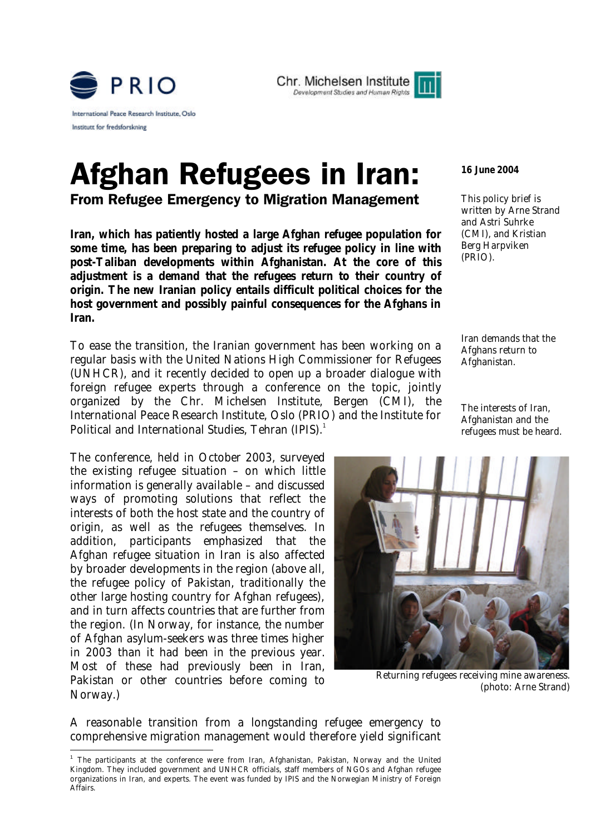





**From Refugee Emergency to Migration Management**

**Iran, which has patiently hosted a large Afghan refugee population for some time, has been preparing to adjust its refugee policy in line with post-Taliban developments within Afghanistan. At the core of this adjustment is a demand that the refugees return to their country of origin. The new Iranian policy entails difficult political choices for the host government and possibly painful consequences for the Afghans in Iran.** 

To ease the transition, the Iranian government has been working on a regular basis with the United Nations High Commissioner for Refugees (UNHCR), and it recently decided to open up a broader dialogue with foreign refugee experts through a conference on the topic, jointly organized by the Chr. Michelsen Institute, Bergen (CMI), the International Peace Research Institute, Oslo (PRIO) and the Institute for Political and International Studies, Tehran (IPIS).<sup>1</sup>

The conference, held in October 2003, surveyed the existing refugee situation – on which little information is generally available – and discussed ways of promoting solutions that reflect the interests of both the host state and the country of origin, as well as the refugees themselves. In addition, participants emphasized that the Afghan refugee situation in Iran is also affected by broader developments in the region (above all, the refugee policy of Pakistan, traditionally the other large hosting country for Afghan refugees), and in turn affects countries that are further from the region. (In Norway, for instance, the number of Afghan asylum-seekers was three times higher in 2003 than it had been in the previous year. Most of these had previously been in Iran, Pakistan or other countries before coming to Norway.)

1



#### **16 June 2004**

This policy brief is written by Arne Strand and Astri Suhrke (CMI), and Kristian Berg Harpviken (PRIO).

Iran demands that the Afghans return to Afghanistan.

The interests of Iran, Afghanistan and the refugees must be heard.



*Returning refugees receiving mine awareness. (photo: Arne Strand)*

A reasonable transition from a longstanding refugee emergency to comprehensive migration management would therefore yield significant

<sup>&</sup>lt;sup>1</sup> The participants at the conference were from Iran, Afghanistan, Pakistan, Norway and the United Kingdom. They included government and UNHCR officials, staff members of NGOs and Afghan refugee organizations in Iran, and experts. The event was funded by IPIS and the Norwegian Ministry of Foreign Affairs.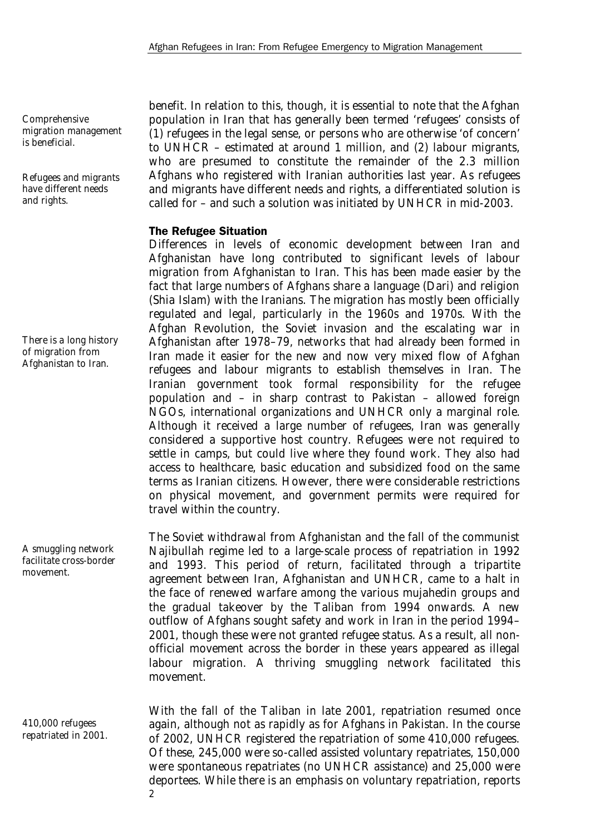Comprehensive migration management is beneficial.

Refugees and migrants have different needs and rights.

There is a long history of migration from Afghanistan to Iran.

A smuggling network facilitate cross-border movement.

410,000 refugees repatriated in 2001. benefit. In relation to this, though, it is essential to note that the Afghan population in Iran that has generally been termed 'refugees' consists of (1) refugees in the legal sense, or persons who are otherwise 'of concern' to UNHCR – estimated at around 1 million, and (2) labour migrants, who are presumed to constitute the remainder of the 2.3 million Afghans who registered with Iranian authorities last year. As refugees and migrants have different needs and rights, a differentiated solution is called for – and such a solution was initiated by UNHCR in mid-2003.

### **The Refugee Situation**

Differences in levels of economic development between Iran and Afghanistan have long contributed to significant levels of labour migration from Afghanistan to Iran. This has been made easier by the fact that large numbers of Afghans share a language (Dari) and religion (Shia Islam) with the Iranians. The migration has mostly been officially regulated and legal, particularly in the 1960s and 1970s. With the Afghan Revolution, the Soviet invasion and the escalating war in Afghanistan after 1978–79, networks that had already been formed in Iran made it easier for the new and now very mixed flow of Afghan refugees and labour migrants to establish themselves in Iran. The Iranian government took formal responsibility for the refugee population and – in sharp contrast to Pakistan – allowed foreign NGOs, international organizations and UNHCR only a marginal role. Although it received a large number of refugees, Iran was generally considered a supportive host country. Refugees were not required to settle in camps, but could live where they found work. They also had access to healthcare, basic education and subsidized food on the same terms as Iranian citizens. However, there were considerable restrictions on physical movement, and government permits were required for travel within the country.

The Soviet withdrawal from Afghanistan and the fall of the communist Najibullah regime led to a large-scale process of repatriation in 1992 and 1993. This period of return, facilitated through a tripartite agreement between Iran, Afghanistan and UNHCR, came to a halt in the face of renewed warfare among the various mujahedin groups and the gradual takeover by the Taliban from 1994 onwards. A new outflow of Afghans sought safety and work in Iran in the period 1994– 2001, though these were not granted refugee status. As a result, all nonofficial movement across the border in these years appeared as illegal labour migration. A thriving smuggling network facilitated this movement.

2 With the fall of the Taliban in late 2001, repatriation resumed once again, although not as rapidly as for Afghans in Pakistan. In the course of 2002, UNHCR registered the repatriation of some 410,000 refugees. Of these, 245,000 were so-called assisted voluntary repatriates, 150,000 were spontaneous repatriates (no UNHCR assistance) and 25,000 were deportees. While there is an emphasis on voluntary repatriation, reports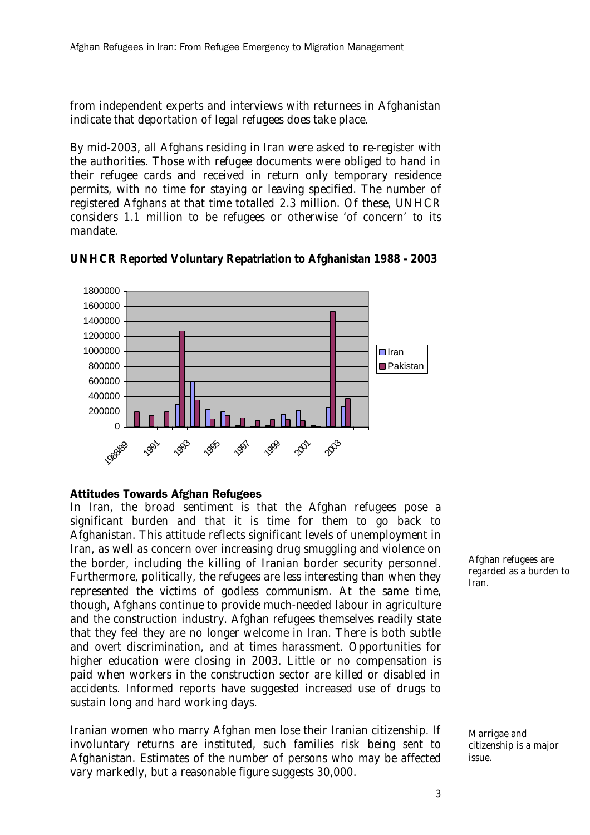from independent experts and interviews with returnees in Afghanistan indicate that deportation of legal refugees does take place.

By mid-2003, all Afghans residing in Iran were asked to re-register with the authorities. Those with refugee documents were obliged to hand in their refugee cards and received in return only temporary residence permits, with no time for staying or leaving specified. The number of registered Afghans at that time totalled 2.3 million. Of these, UNHCR considers 1.1 million to be refugees or otherwise 'of concern' to its mandate.



# **UNHCR Reported Voluntary Repatriation to Afghanistan 1988 - 2003**

# **Attitudes Towards Afghan Refugees**

In Iran, the broad sentiment is that the Afghan refugees pose a significant burden and that it is time for them to go back to Afghanistan. This attitude reflects significant levels of unemployment in Iran, as well as concern over increasing drug smuggling and violence on the border, including the killing of Iranian border security personnel. Furthermore, politically, the refugees are less interesting than when they represented the victims of godless communism. At the same time, though, Afghans continue to provide much-needed labour in agriculture and the construction industry. Afghan refugees themselves readily state that they feel they are no longer welcome in Iran. There is both subtle and overt discrimination, and at times harassment. Opportunities for higher education were closing in 2003. Little or no compensation is paid when workers in the construction sector are killed or disabled in accidents. Informed reports have suggested increased use of drugs to sustain long and hard working days.

Iranian women who marry Afghan men lose their Iranian citizenship. If involuntary returns are instituted, such families risk being sent to Afghanistan. Estimates of the number of persons who may be affected vary markedly, but a reasonable figure suggests 30,000.

Afghan refugees are regarded as a burden to Iran.

Marrigae and citizenship is a major issue.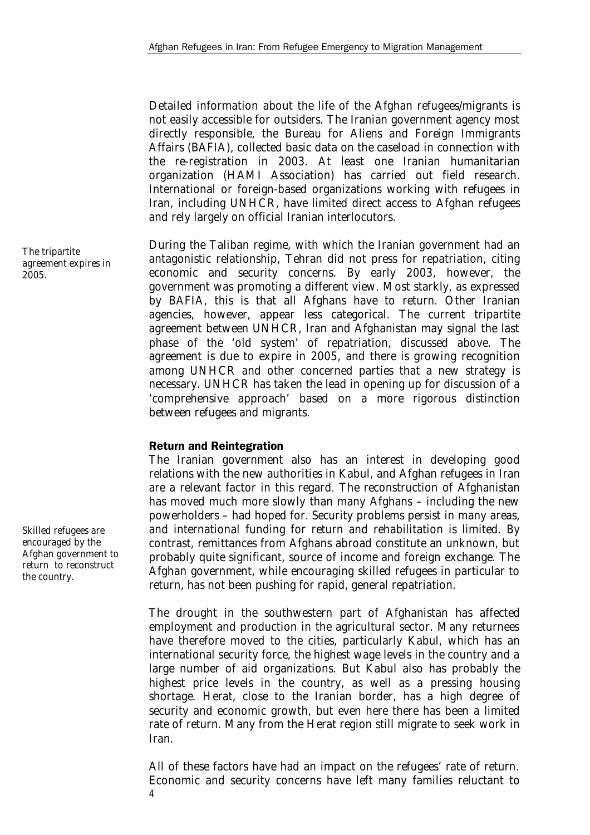Detailed information about the life of the Afghan refugees/migrants is not easily accessible for outsiders. The Iranian government agency most directly responsible, the Bureau for Aliens and Foreign Immigrants Affairs (BAFIA), collected basic data on the caseload in connection with the re-registration in 2003. At least one Iranian humanitarian organization (HAMI Association) has carried out field research. International or foreign-based organizations working with refugees in Iran, including UNHCR, have limited direct access to Afghan refugees and rely largely on official Iranian interlocutors.

During the Taliban regime, with which the Iranian government had an antagonistic relationship, Tehran did not press for repatriation, citing economic and security concerns. By early 2003, however, the government was promoting a different view. Most starkly, as expressed by BAFIA, this is that all Afghans have to return. Other Iranian agencies, however, appear less categorical. The current tripartite agreement between UNHCR, Iran and Afghanistan may signal the last phase of the 'old system' of repatriation, discussed above. The agreement is due to expire in 2005, and there is growing recognition among UNHCR and other concerned parties that a new strategy is necessary. UNHCR has taken the lead in opening up for discussion of a 'comprehensive approach' based on a more rigorous distinction between refugees and migrants.

### **Return and Reintegration**

The Iranian government also has an interest in developing good relations with the new authorities in Kabul, and Afghan refugees in Iran are a relevant factor in this regard. The reconstruction of Afghanistan has moved much more slowly than many Afghans – including the new powerholders – had hoped for. Security problems persist in many areas, and international funding for return and rehabilitation is limited. By contrast, remittances from Afghans abroad constitute an unknown, but probably quite significant, source of income and foreign exchange. The Afghan government, while encouraging skilled refugees in particular to return, has not been pushing for rapid, general repatriation.

The drought in the southwestern part of Afghanistan has affected employment and production in the agricultural sector. Many returnees have therefore moved to the cities, particularly Kabul, which has an international security force, the highest wage levels in the country and a large number of aid organizations. But Kabul also has probably the highest price levels in the country, as well as a pressing housing shortage. Herat, close to the Iranian border, has a high degree of security and economic growth, but even here there has been a limited rate of return. Many from the Herat region still migrate to seek work in Iran.

4 All of these factors have had an impact on the refugees' rate of return. Economic and security concerns have left many families reluctant to

The tripartite agreement expires in 2005.

Skilled refugees are encouraged by the Afghan government to return to reconstruct the country.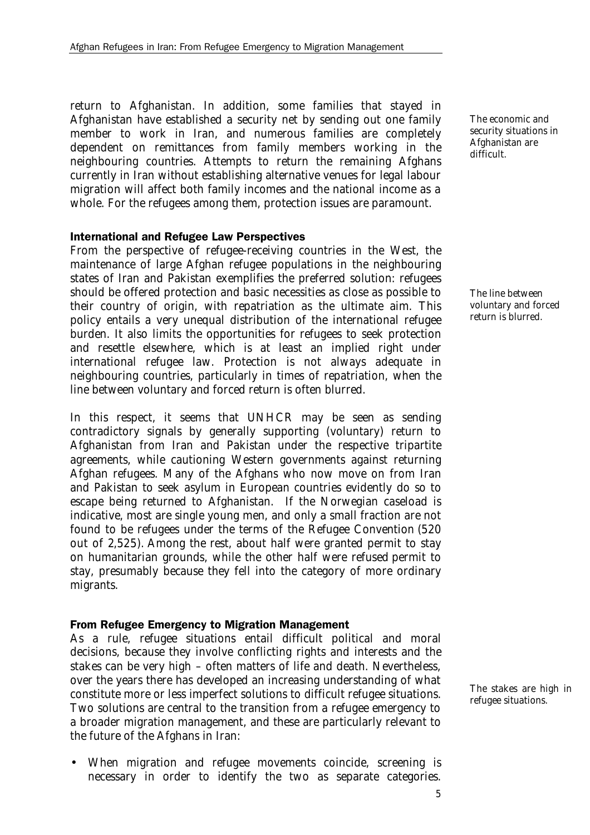return to Afghanistan. In addition, some families that stayed in Afghanistan have established a security net by sending out one family member to work in Iran, and numerous families are completely dependent on remittances from family members working in the neighbouring countries. Attempts to return the remaining Afghans currently in Iran without establishing alternative venues for legal labour migration will affect both family incomes and the national income as a whole. For the refugees among them, protection issues are paramount.

## **International and Refugee Law Perspectives**

From the perspective of refugee-receiving countries in the West, the maintenance of large Afghan refugee populations in the neighbouring states of Iran and Pakistan exemplifies the preferred solution: refugees should be offered protection and basic necessities as close as possible to their country of origin, with repatriation as the ultimate aim. This policy entails a very unequal distribution of the international refugee burden. It also limits the opportunities for refugees to seek protection and resettle elsewhere, which is at least an implied right under international refugee law. Protection is not always adequate in neighbouring countries, particularly in times of repatriation, when the line between voluntary and forced return is often blurred.

In this respect, it seems that UNHCR may be seen as sending contradictory signals by generally supporting (voluntary) return to Afghanistan from Iran and Pakistan under the respective tripartite agreements, while cautioning Western governments against returning Afghan refugees. Many of the Afghans who now move on from Iran and Pakistan to seek asylum in European countries evidently do so to escape being returned to Afghanistan. If the Norwegian caseload is indicative, most are single young men, and only a small fraction are not found to be refugees under the terms of the Refugee Convention (520 out of 2,525). Among the rest, about half were granted permit to stay on humanitarian grounds, while the other half were refused permit to stay, presumably because they fell into the category of more ordinary migrants.

# **From Refugee Emergency to Migration Management**

As a rule, refugee situations entail difficult political and moral decisions, because they involve conflicting rights and interests and the stakes can be very high – often matters of life and death. Nevertheless, over the years there has developed an increasing understanding of what constitute more or less imperfect solutions to difficult refugee situations. Two solutions are central to the transition from a refugee emergency to a broader migration management, and these are particularly relevant to the future of the Afghans in Iran:

• When migration and refugee movements coincide, screening is necessary in order to identify the two as separate categories.

The economic and security situations in Afghanistan are difficult.

The line between voluntary and forced return is blurred.

The stakes are high in refugee situations.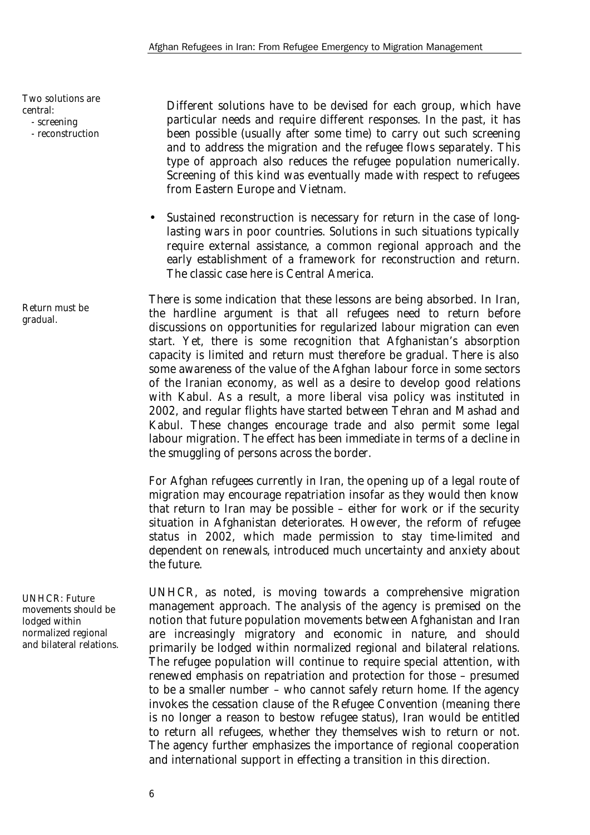Two solutions are central:

- screening

- reconstruction

Return must be gradual.

UNHCR: Future movements should be lodged within normalized regional and bilateral relations. Different solutions have to be devised for each group, which have particular needs and require different responses. In the past, it has been possible (usually after some time) to carry out such screening and to address the migration and the refugee flows separately. This type of approach also reduces the refugee population numerically. Screening of this kind was eventually made with respect to refugees from Eastern Europe and Vietnam.

• Sustained reconstruction is necessary for return in the case of longlasting wars in poor countries. Solutions in such situations typically require external assistance, a common regional approach and the early establishment of a framework for reconstruction and return. The classic case here is Central America.

There is some indication that these lessons are being absorbed. In Iran, the hardline argument is that all refugees need to return before discussions on opportunities for regularized labour migration can even start. Yet, there is some recognition that Afghanistan's absorption capacity is limited and return must therefore be gradual. There is also some awareness of the value of the Afghan labour force in some sectors of the Iranian economy, as well as a desire to develop good relations with Kabul. As a result, a more liberal visa policy was instituted in 2002, and regular flights have started between Tehran and Mashad and Kabul. These changes encourage trade and also permit some legal labour migration. The effect has been immediate in terms of a decline in the smuggling of persons across the border.

For Afghan refugees currently in Iran, the opening up of a legal route of migration may encourage repatriation insofar as they would then know that return to Iran may be possible – either for work or if the security situation in Afghanistan deteriorates. However, the reform of refugee status in 2002, which made permission to stay time-limited and dependent on renewals, introduced much uncertainty and anxiety about the future.

UNHCR, as noted, is moving towards a comprehensive migration management approach. The analysis of the agency is premised on the notion that future population movements between Afghanistan and Iran are increasingly migratory and economic in nature, and should primarily be lodged within normalized regional and bilateral relations. The refugee population will continue to require special attention, with renewed emphasis on repatriation and protection for those – presumed to be a smaller number – who cannot safely return home. If the agency invokes the cessation clause of the Refugee Convention (meaning there is no longer a reason to bestow refugee status), Iran would be entitled to return all refugees, whether they themselves wish to return or not. The agency further emphasizes the importance of regional cooperation and international support in effecting a transition in this direction.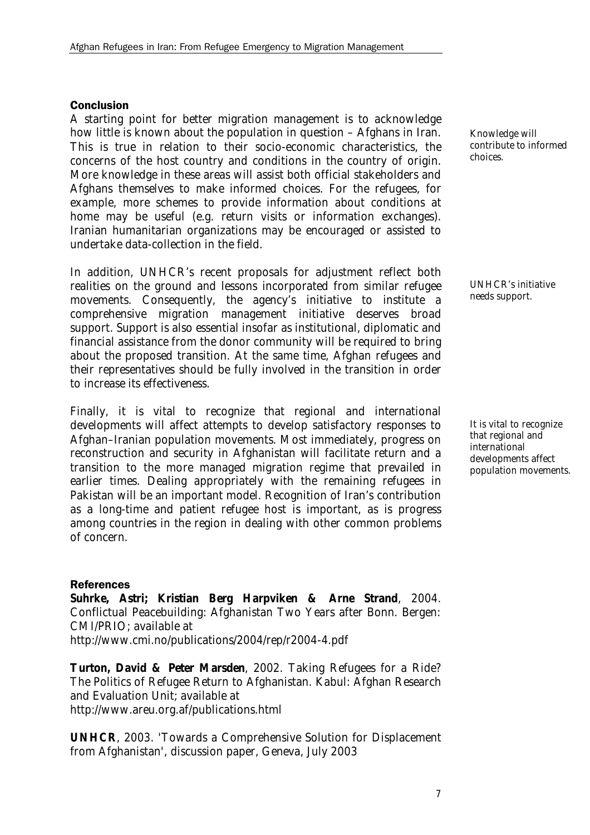# **Conclusion**

A starting point for better migration management is to acknowledge how little is known about the population in question – Afghans in Iran. This is true in relation to their socio-economic characteristics, the concerns of the host country and conditions in the country of origin. *More knowledge* in these areas will assist both official stakeholders and Afghans themselves to make informed choices. For the refugees, for example, more schemes to provide information about conditions at home may be useful (e.g. return visits or information exchanges). Iranian humanitarian organizations may be encouraged or assisted to undertake data-collection in the field.

In addition, UNHCR's recent proposals for adjustment reflect both realities on the ground and lessons incorporated from similar refugee movements. Consequently, the *agency's initiative to institute a comprehensive migration management initiative deserves broad support*. Support is also essential insofar as institutional, diplomatic and financial assistance from the donor community will be required to bring about the proposed transition. At the same time, Afghan refugees and their representatives should be fully involved in the transition in order to increase its effectiveness.

Finally, it is vital to recognize that *regional and international developments* will affect attempts to develop satisfactory responses to Afghan–Iranian population movements. Most immediately, progress on reconstruction and security in Afghanistan will facilitate return and a transition to the more managed migration regime that prevailed in earlier times. Dealing appropriately with the remaining refugees in Pakistan will be an important model. Recognition of Iran's contribution as a long-time and patient refugee host is important, as is progress among countries in the region in dealing with other common problems of concern.

# **References**

**Suhrke, Astri; Kristian Berg Harpviken & Arne Strand**, 2004. Conflictual Peacebuilding: Afghanistan Two Years after Bonn. Bergen: CMI/PRIO; available at http://www.cmi.no/publications/2004/rep/r2004-4.pdf

**Turton, David & Peter Marsden**, 2002. Taking Refugees for a Ride? The Politics of Refugee Return to Afghanistan. Kabul: Afghan Research and Evaluation Unit; available at http://www.areu.org.af/publications.html

**UNHCR**, 2003. 'Towards a Comprehensive Solution for Displacement from Afghanistan', discussion paper, Geneva, July 2003

Knowledge will contribute to informed choices.

UNHCR's initiative needs support.

It is vital to recognize that regional and international developments affect population movements.